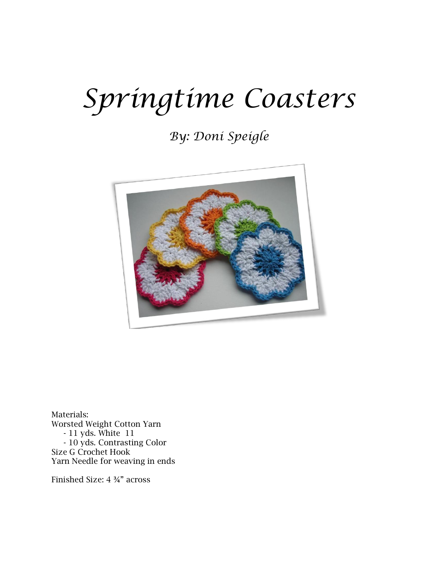## *Springtime Coasters*

## *By: Doni Speigle*



Materials: Worsted Weight Cotton Yarn - 11 yds. White 11 - 10 yds. Contrasting Color Size G Crochet Hook Yarn Needle for weaving in ends

Finished Size: 4 ¾" across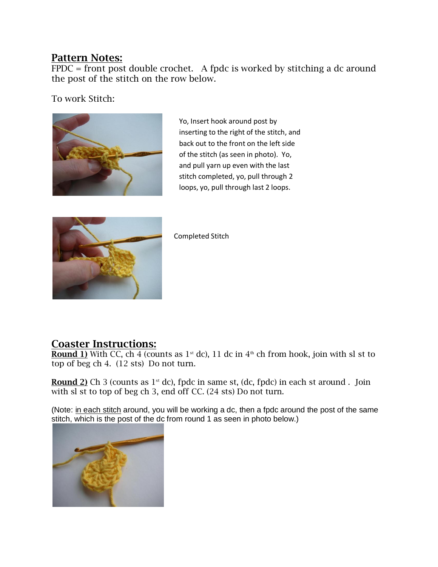## **Pattern Notes:**

 $\overline{\text{FPDC}}$  = front post double crochet. A fpdc is worked by stitching a dc around the post of the stitch on the row below.

To work Stitch:



Yo, Insert hook around post by inserting to the right of the stitch, and back out to the front on the left side of the stitch (as seen in photo). Yo, and pull yarn up even with the last stitch completed, yo, pull through 2 loops, yo, pull through last 2 loops.



Completed Stitch

## **Coaster Instructions:**

**Round 1)** With CC, ch 4 (counts as  $1^{st}$  dc), 11 dc in  $4^{th}$  ch from hook, join with sl st to top of beg ch 4. (12 sts) Do not turn.

**Round 2)** Ch 3 (counts as 1<sup>st</sup> dc), fpdc in same st, (dc, fpdc) in each st around . Join with sl st to top of beg ch 3, end off CC. (24 sts) Do not turn.

(Note: in each stitch around, you will be working a dc, then a fpdc around the post of the same stitch, which is the post of the dc from round 1 as seen in photo below.)